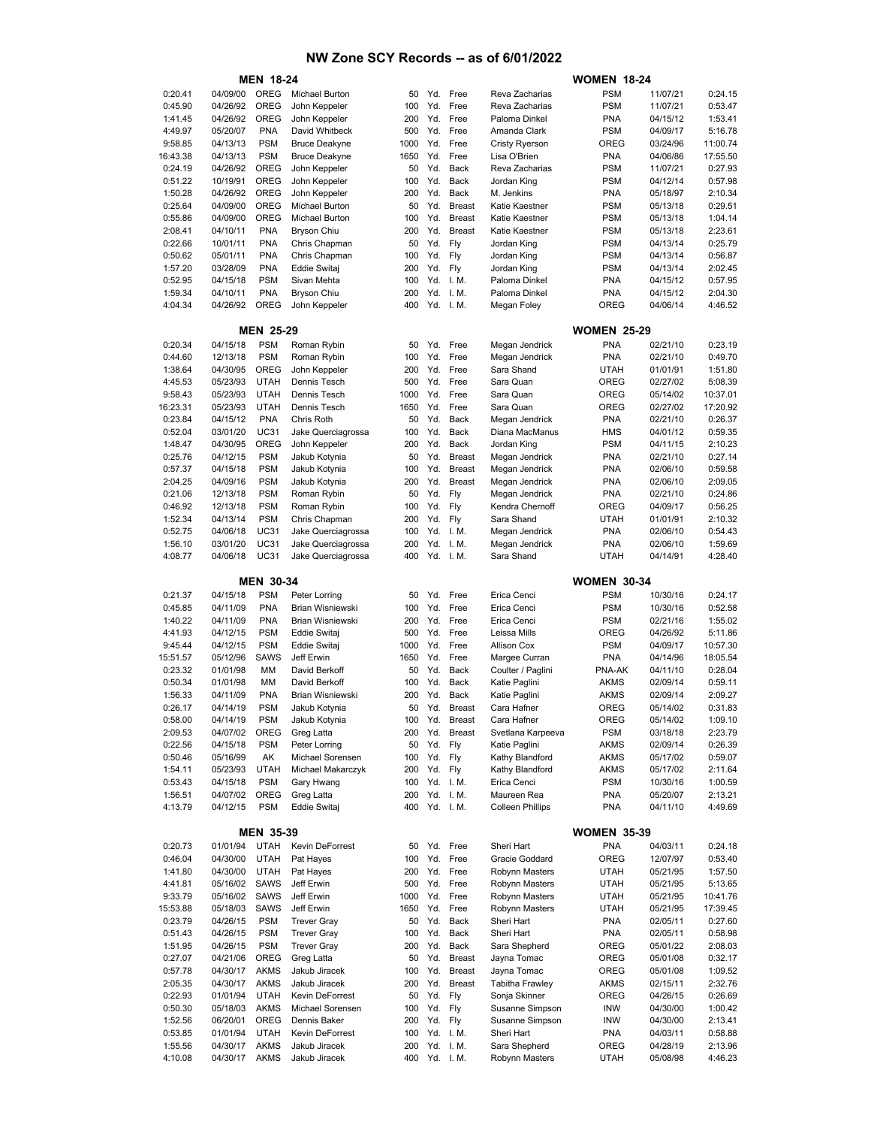|                     |                      | <b>MEN 18-24</b>           |                                          |            |            |                      |                                    | <b>WOMEN 18-24</b>       |                      |                     |
|---------------------|----------------------|----------------------------|------------------------------------------|------------|------------|----------------------|------------------------------------|--------------------------|----------------------|---------------------|
| 0:20.41             | 04/09/00             | OREG                       | <b>Michael Burton</b>                    | 50         |            | Yd. Free             | Reva Zacharias                     | <b>PSM</b>               | 11/07/21             | 0:24.15             |
| 0:45.90             | 04/26/92             | OREG                       | John Keppeler                            | 100        | Yd.        | Free                 | Reva Zacharias                     | <b>PSM</b>               | 11/07/21             | 0:53.47             |
| 1:41.45             | 04/26/92             | OREG                       | John Keppeler                            | 200        | Yd.        | Free                 | Paloma Dinkel                      | <b>PNA</b>               | 04/15/12             | 1:53.41             |
| 4:49.97             | 05/20/07             | <b>PNA</b>                 | David Whitbeck                           | 500        | Yd.        | Free                 | Amanda Clark                       | <b>PSM</b>               | 04/09/17             | 5:16.78             |
| 9:58.85             | 04/13/13             | <b>PSM</b>                 | <b>Bruce Deakyne</b>                     | 1000       | Yd.        | Free                 | Cristy Ryerson                     | OREG                     | 03/24/96             | 11:00.74            |
| 16:43.38            | 04/13/13<br>04/26/92 | <b>PSM</b><br>OREG         | <b>Bruce Deakyne</b><br>John Keppeler    | 1650<br>50 | Yd.<br>Yd. | Free<br>Back         | Lisa O'Brien                       | <b>PNA</b><br><b>PSM</b> | 04/06/86             | 17:55.50            |
| 0:24.19<br>0:51.22  | 10/19/91             | <b>OREG</b>                | John Keppeler                            | 100        | Yd.        | Back                 | Reva Zacharias<br>Jordan King      | <b>PSM</b>               | 11/07/21<br>04/12/14 | 0:27.93<br>0:57.98  |
| 1:50.28             | 04/26/92             | <b>OREG</b>                | John Keppeler                            | 200        | Yd.        | Back                 | M. Jenkins                         | <b>PNA</b>               | 05/18/97             | 2:10.34             |
| 0:25.64             | 04/09/00             | <b>OREG</b>                | Michael Burton                           | 50         | Yd.        | <b>Breast</b>        | Katie Kaestner                     | <b>PSM</b>               | 05/13/18             | 0:29.51             |
| 0:55.86             | 04/09/00             | OREG                       | <b>Michael Burton</b>                    | 100        | Yd.        | <b>Breast</b>        | Katie Kaestner                     | <b>PSM</b>               | 05/13/18             | 1:04.14             |
| 2:08.41             | 04/10/11             | <b>PNA</b>                 | <b>Bryson Chiu</b>                       | 200        | Yd.        | <b>Breast</b>        | Katie Kaestner                     | <b>PSM</b>               | 05/13/18             | 2:23.61             |
| 0:22.66             | 10/01/11             | <b>PNA</b>                 | Chris Chapman                            | 50         | Yd.        | Fly                  | Jordan King                        | <b>PSM</b>               | 04/13/14             | 0:25.79             |
| 0:50.62             | 05/01/11             | <b>PNA</b>                 | Chris Chapman                            | 100        | Yd.        | Fly                  | Jordan King                        | <b>PSM</b>               | 04/13/14             | 0:56.87             |
| 1:57.20             | 03/28/09             | <b>PNA</b>                 | Eddie Switaj                             | 200        | Yd.        | Fly                  | Jordan King                        | <b>PSM</b>               | 04/13/14             | 2:02.45             |
| 0:52.95             | 04/15/18             | <b>PSM</b>                 | Sivan Mehta                              | 100        | Yd.        | I. M.                | Paloma Dinkel                      | <b>PNA</b>               | 04/15/12             | 0:57.95             |
| 1:59.34             | 04/10/11             | <b>PNA</b>                 | <b>Bryson Chiu</b>                       | 200        | Yd.        | I. M.                | Paloma Dinkel                      | <b>PNA</b>               | 04/15/12             | 2:04.30             |
| 4:04.34             | 04/26/92             | OREG                       | John Keppeler                            | 400        |            | Yd. I.M.             | Megan Foley                        | OREG                     | 04/06/14             | 4:46.52             |
|                     |                      | <b>MEN 25-29</b>           |                                          |            |            |                      |                                    | <b>WOMEN 25-29</b>       |                      |                     |
| 0:20.34             | 04/15/18             | <b>PSM</b>                 | Roman Rybin                              | 50         | Yd.        | Free                 | Megan Jendrick                     | <b>PNA</b>               | 02/21/10             | 0:23.19             |
| 0:44.60             | 12/13/18             | <b>PSM</b>                 | Roman Rybin                              | 100        | Yd.        | Free                 | Megan Jendrick                     | <b>PNA</b>               | 02/21/10             | 0:49.70             |
| 1:38.64             | 04/30/95             | OREG                       | John Keppeler                            | 200        | Yd.        | Free                 | Sara Shand                         | UTAH                     | 01/01/91             | 1:51.80             |
| 4:45.53             | 05/23/93             | <b>UTAH</b>                | <b>Dennis Tesch</b>                      | 500        | Yd.        | Free                 | Sara Quan                          | <b>OREG</b>              | 02/27/02             | 5:08.39             |
| 9:58.43             | 05/23/93             | <b>UTAH</b>                | Dennis Tesch                             | 1000       | Yd.        | Free                 | Sara Quan                          | OREG                     | 05/14/02             | 10:37.01            |
| 16:23.31            | 05/23/93             | <b>UTAH</b>                | <b>Dennis Tesch</b>                      | 1650       | Yd.        | Free                 | Sara Quan                          | OREG                     | 02/27/02             | 17:20.92            |
| 0:23.84             | 04/15/12             | <b>PNA</b>                 | Chris Roth                               | 50         | Yd.        | Back                 | Megan Jendrick                     | <b>PNA</b>               | 02/21/10             | 0:26.37             |
| 0:52.04             | 03/01/20             | <b>UC31</b>                | Jake Querciagrossa                       | 100        | Yd.        | <b>Back</b>          | Diana MacManus                     | <b>HMS</b>               | 04/01/12             | 0:59.35             |
| 1:48.47             | 04/30/95             | OREG                       | John Keppeler                            | 200        | Yd.        | <b>Back</b>          | Jordan King                        | <b>PSM</b>               | 04/11/15             | 2:10.23             |
| 0:25.76             | 04/12/15             | <b>PSM</b>                 | Jakub Kotynia                            | 50         | Yd.        | <b>Breast</b>        | Megan Jendrick                     | <b>PNA</b>               | 02/21/10             | 0:27.14             |
| 0:57.37             | 04/15/18             | <b>PSM</b>                 | Jakub Kotynia                            | 100        | Yd.        | <b>Breast</b>        | Megan Jendrick                     | <b>PNA</b>               | 02/06/10             | 0:59.58             |
| 2:04.25             | 04/09/16             | <b>PSM</b>                 | Jakub Kotynia                            | 200        | Yd.        | <b>Breast</b>        | Megan Jendrick                     | <b>PNA</b>               | 02/06/10             | 2:09.05             |
| 0:21.06             | 12/13/18             | <b>PSM</b>                 | Roman Rybin                              | 50         | Yd.        | Fly                  | Megan Jendrick                     | <b>PNA</b>               | 02/21/10             | 0:24.86             |
| 0:46.92             | 12/13/18             | <b>PSM</b>                 | Roman Rybin                              | 100        | Yd.        | Fly                  | Kendra Chernoff                    | OREG                     | 04/09/17             | 0:56.25             |
| 1:52.34<br>0:52.75  | 04/13/14             | <b>PSM</b><br><b>UC31</b>  | Chris Chapman                            | 200<br>100 | Yd.<br>Yd. | Fly                  | Sara Shand                         | UTAH<br><b>PNA</b>       | 01/01/91             | 2:10.32             |
| 1:56.10             | 04/06/18<br>03/01/20 | <b>UC31</b>                | Jake Querciagrossa<br>Jake Querciagrossa | 200        | Yd.        | I. M.<br>I. M.       | Megan Jendrick<br>Megan Jendrick   | <b>PNA</b>               | 02/06/10<br>02/06/10 | 0:54.43<br>1:59.69  |
| 4:08.77             | 04/06/18             | <b>UC31</b>                | Jake Querciagrossa                       | 400        | Yd.        | I. M.                | Sara Shand                         | UTAH                     | 04/14/91             | 4:28.40             |
|                     |                      |                            |                                          |            |            |                      |                                    |                          |                      |                     |
|                     |                      |                            |                                          |            |            |                      |                                    |                          |                      |                     |
|                     |                      | <b>MEN 30-34</b>           |                                          |            |            |                      |                                    | <b>WOMEN 30-34</b>       |                      |                     |
| 0:21.37             | 04/15/18             | <b>PSM</b>                 | Peter Lorring                            | 50         | Yd.        | Free                 | Erica Cenci                        | <b>PSM</b>               | 10/30/16             | 0:24.17             |
| 0:45.85             | 04/11/09             | <b>PNA</b>                 | <b>Brian Wisniewski</b>                  | 100        | Yd.        | Free                 | Erica Cenci                        | <b>PSM</b>               | 10/30/16             | 0:52.58             |
| 1:40.22             | 04/11/09             | <b>PNA</b>                 | <b>Brian Wisniewski</b>                  | 200        | Yd.        | Free                 | Erica Cenci                        | <b>PSM</b>               | 02/21/16             | 1:55.02             |
| 4:41.93             | 04/12/15             | <b>PSM</b>                 | Eddie Switaj                             | 500        | Yd.        | Free                 | Leissa Mills                       | OREG                     | 04/26/92             | 5:11.86             |
| 9:45.44             | 04/12/15             | <b>PSM</b>                 | Eddie Switaj                             | 1000       | Yd.        | Free                 | Allison Cox                        | <b>PSM</b>               | 04/09/17             | 10:57.30            |
| 15:51.57            | 05/12/96             | <b>SAWS</b>                | Jeff Erwin                               | 1650       | Yd.        | Free                 | Margee Curran                      | <b>PNA</b>               | 04/14/96             | 18:05.54            |
| 0:23.32             | 01/01/98             | МM                         | David Berkoff                            | 50         | Yd.        | Back                 | Coulter / Paglini                  | PNA-AK                   | 04/11/10             | 0:28.04             |
| 0:50.34             | 01/01/98             | МM                         | David Berkoff                            | 100        | Yd.        | Back                 | Katie Paglini                      | AKMS                     | 02/09/14             | 0:59.11             |
| 1:56.33             | 04/11/09             | <b>PNA</b>                 | <b>Brian Wisniewski</b>                  | 200        | Yd.        | Back                 | Katie Paglini                      | <b>AKMS</b>              | 02/09/14             | 2:09.27             |
| 0:26.17             | 04/14/19             | <b>PSM</b>                 | Jakub Kotynia                            | 50         | Yd.        | <b>Breast</b>        | Cara Hafner                        | OREG                     | 05/14/02             | 0:31.83             |
| 0:58.00             | 04/14/19             | <b>PSM</b>                 | Jakub Kotynia                            | 100        | Yd.        | <b>Breast</b>        | Cara Hafner                        | OREG                     | 05/14/02             | 1:09.10             |
| 2:09.53             | 04/07/02             | OREG                       | Greg Latta                               | 200        | Yd.        | <b>Breast</b>        | Svetlana Karpeeva                  | <b>PSM</b>               | 03/18/18             | 2:23.79             |
| 0:22.56             | 04/15/18             | <b>PSM</b>                 | Peter Lorring                            | 50         | Yd.        | Fly                  | Katie Paglini                      | AKMS                     | 02/09/14             | 0:26.39             |
| 0:50.46<br>1:54.11  | 05/16/99<br>05/23/93 | AK<br><b>UTAH</b>          | Michael Sorensen<br>Michael Makarczyk    | 100<br>200 | Yd.<br>Yd. | Fly<br>Fly           | Kathy Blandford<br>Kathy Blandford | AKMS<br>AKMS             | 05/17/02<br>05/17/02 | 0:59.07<br>2:11.64  |
| 0:53.43             | 04/15/18             | <b>PSM</b>                 | Gary Hwang                               | 100        |            | Yd. I.M.             | Erica Cenci                        | <b>PSM</b>               | 10/30/16             | 1:00.59             |
| 1:56.51             | 04/07/02             | OREG                       | Greg Latta                               | 200        |            | Yd. I.M.             | Maureen Rea                        | <b>PNA</b>               | 05/20/07             | 2:13.21             |
| 4:13.79             | 04/12/15             | <b>PSM</b>                 | Eddie Switaj                             | 400        |            | Yd. I.M.             | <b>Colleen Phillips</b>            | <b>PNA</b>               | 04/11/10             | 4:49.69             |
|                     |                      |                            |                                          |            |            |                      |                                    |                          |                      |                     |
|                     |                      | <b>MEN 35-39</b>           |                                          |            |            |                      |                                    | <b>WOMEN 35-39</b>       |                      |                     |
| 0:20.73             | 01/01/94             | <b>UTAH</b>                | Kevin DeForrest                          | 50         |            | Yd. Free             | Sheri Hart                         | <b>PNA</b>               | 04/03/11             | 0:24.18             |
| 0:46.04             | 04/30/00             | <b>UTAH</b>                | Pat Hayes                                | 100        |            | Yd. Free             | Gracie Goddard                     | OREG                     | 12/07/97             | 0:53.40             |
| 1:41.80             | 04/30/00             | <b>UTAH</b>                | Pat Hayes                                | 200        |            | Yd. Free             | Robynn Masters                     | <b>UTAH</b>              | 05/21/95             | 1:57.50             |
| 4:41.81             | 05/16/02             | SAWS                       | Jeff Erwin                               | 500        | Yd.        | Free                 | Robynn Masters                     | UTAH                     | 05/21/95             | 5:13.65             |
| 9:33.79             | 05/16/02             | SAWS                       | Jeff Erwin                               | 1000       |            | Yd. Free             | Robynn Masters                     | UTAH                     | 05/21/95             | 10:41.76            |
| 15:53.88<br>0:23.79 | 05/18/03             | <b>SAWS</b><br><b>PSM</b>  | Jeff Erwin<br><b>Trever Gray</b>         | 1650<br>50 | Yd.<br>Yd. | Free<br>Back         | Robynn Masters<br>Sheri Hart       | UTAH<br><b>PNA</b>       | 05/21/95<br>02/05/11 | 17:39.45<br>0:27.60 |
| 0:51.43             | 04/26/15<br>04/26/15 | <b>PSM</b>                 | <b>Trever Gray</b>                       | 100        | Yd.        | Back                 | Sheri Hart                         | <b>PNA</b>               | 02/05/11             | 0:58.98             |
| 1:51.95             | 04/26/15             | <b>PSM</b>                 | <b>Trever Gray</b>                       | 200        | Yd.        | Back                 | Sara Shepherd                      | OREG                     | 05/01/22             | 2:08.03             |
| 0:27.07             | 04/21/06             | OREG                       | Greg Latta                               | 50         | Yd.        | <b>Breast</b>        | Jayna Tomac                        | OREG                     | 05/01/08             | 0:32.17             |
| 0:57.78             | 04/30/17             | <b>AKMS</b>                | Jakub Jiracek                            | 100        | Yd.        | <b>Breast</b>        | Jayna Tomac                        | OREG                     | 05/01/08             | 1:09.52             |
| 2:05.35             | 04/30/17             | <b>AKMS</b>                | Jakub Jiracek                            | 200        | Yd.        | <b>Breast</b>        | Tabitha Frawley                    | AKMS                     | 02/15/11             | 2:32.76             |
| 0:22.93             | 01/01/94             | <b>UTAH</b>                | Kevin DeForrest                          | 50         | Yd.        | Fly                  | Sonja Skinner                      | OREG                     | 04/26/15             | 0:26.69             |
| 0:50.30             | 05/18/03             | <b>AKMS</b>                | Michael Sorensen                         | 100        | Yd.        | Fly                  | Susanne Simpson                    | <b>INW</b>               | 04/30/00             | 1:00.42             |
| 1:52.56             | 06/20/01             | OREG                       | Dennis Baker                             | 200        | Yd. Fly    |                      | Susanne Simpson                    | INW                      | 04/30/00             | 2:13.41             |
| 0:53.85             | 01/01/94             | <b>UTAH</b>                | Kevin DeForrest                          | 100        |            | Yd. I.M.             | Sheri Hart                         | <b>PNA</b>               | 04/03/11             | 0:58.88             |
| 1:55.56<br>4:10.08  | 04/30/17<br>04/30/17 | <b>AKMS</b><br><b>AKMS</b> | Jakub Jiracek<br>Jakub Jiracek           | 200<br>400 |            | Yd. I.M.<br>Yd. I.M. | Sara Shepherd<br>Robynn Masters    | OREG<br>UTAH             | 04/28/19<br>05/08/98 | 2:13.96<br>4:46.23  |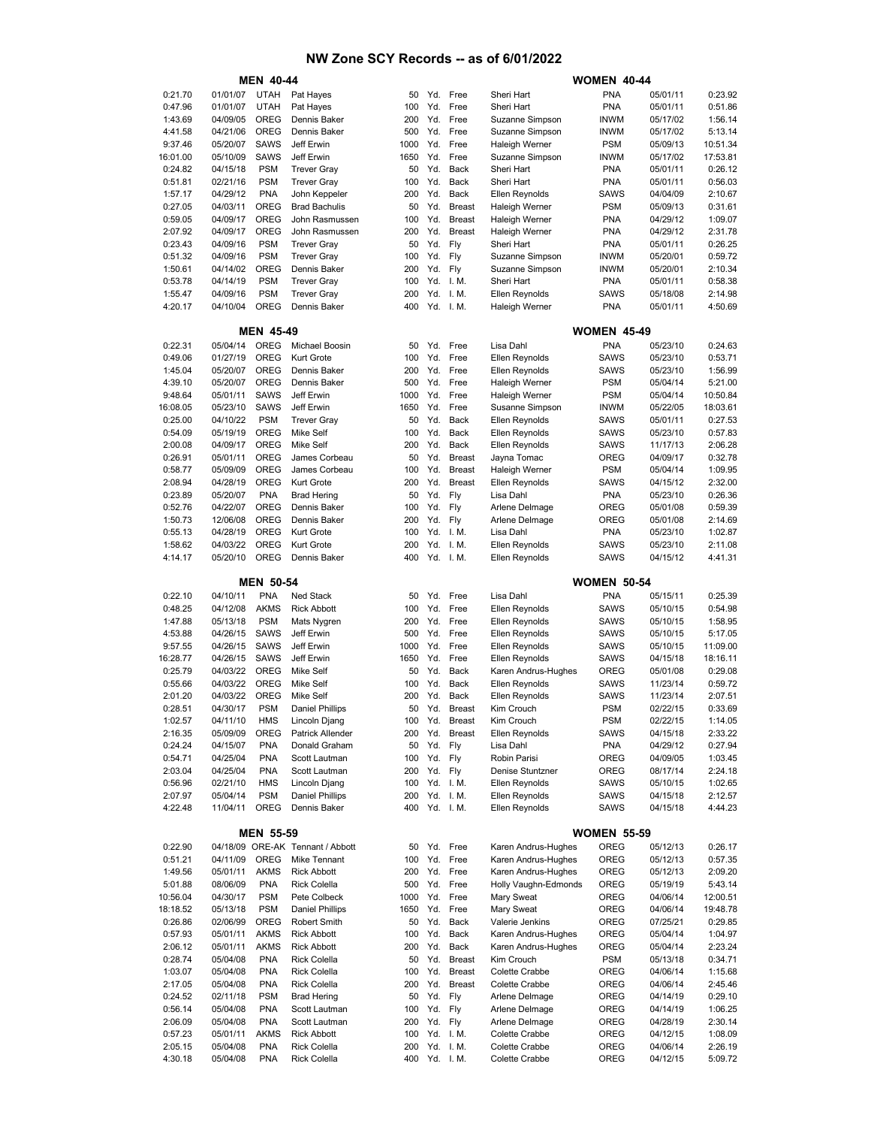|                    |                      | <b>MEN 40-44</b>         |                                            |             |            |                                |                                                | <b>WOMEN 40-44</b>         |                      |                     |
|--------------------|----------------------|--------------------------|--------------------------------------------|-------------|------------|--------------------------------|------------------------------------------------|----------------------------|----------------------|---------------------|
| 0:21.70            | 01/01/07             | <b>UTAH</b>              | Pat Hayes                                  | 50          |            | Yd. Free                       | Sheri Hart                                     | <b>PNA</b>                 | 05/01/11             | 0:23.92             |
| 0:47.96            | 01/01/07             | <b>UTAH</b>              | Pat Hayes                                  | 100         | Yd.        | Free                           | Sheri Hart                                     | <b>PNA</b>                 | 05/01/11             | 0:51.86             |
| 1:43.69            | 04/09/05             | <b>OREG</b>              | Dennis Baker                               | 200         | Yd.        | Free                           | Suzanne Simpson                                | <b>INWM</b>                | 05/17/02             | 1:56.14             |
| 4:41.58            | 04/21/06             | <b>OREG</b>              | Dennis Baker                               | 500         | Yd.        | Free                           | Suzanne Simpson                                | <b>INWM</b>                | 05/17/02             | 5:13.14             |
| 9:37.46            | 05/20/07             | <b>SAWS</b>              | Jeff Erwin                                 | 1000        | Yd.        | Free                           | <b>Haleigh Werner</b>                          | <b>PSM</b>                 | 05/09/13             | 10:51.34            |
| 16:01.00           | 05/10/09             | <b>SAWS</b>              | Jeff Erwin                                 | 1650        | Yd.        | Free                           | Suzanne Simpson                                | <b>INWM</b>                | 05/17/02             | 17:53.81            |
| 0:24.82            | 04/15/18             | <b>PSM</b>               | <b>Trever Gray</b>                         | 50          | Yd.        | Back                           | Sheri Hart                                     | <b>PNA</b>                 | 05/01/11             | 0:26.12             |
| 0:51.81            | 02/21/16             | <b>PSM</b>               | <b>Trever Gray</b>                         | 100         | Yd.        | Back                           | Sheri Hart                                     | <b>PNA</b>                 | 05/01/11             | 0:56.03             |
| 1:57.17<br>0:27.05 | 04/29/12             | <b>PNA</b><br>OREG       | John Keppeler                              | 200         | Yd.<br>Yd. | Back                           | Ellen Reynolds                                 | <b>SAWS</b><br><b>PSM</b>  | 04/04/09             | 2:10.67<br>0:31.61  |
| 0:59.05            | 04/03/11<br>04/09/17 | <b>OREG</b>              | <b>Brad Bachulis</b><br>John Rasmussen     | 50<br>100   | Yd.        | <b>Breast</b><br><b>Breast</b> | <b>Haleigh Werner</b><br><b>Haleigh Werner</b> | <b>PNA</b>                 | 05/09/13<br>04/29/12 | 1:09.07             |
| 2:07.92            | 04/09/17             | <b>OREG</b>              | John Rasmussen                             | 200         | Yd.        | <b>Breast</b>                  | <b>Haleigh Werner</b>                          | <b>PNA</b>                 | 04/29/12             | 2:31.78             |
| 0:23.43            | 04/09/16             | <b>PSM</b>               | <b>Trever Gray</b>                         | 50          | Yd.        | Fly                            | Sheri Hart                                     | <b>PNA</b>                 | 05/01/11             | 0:26.25             |
| 0:51.32            | 04/09/16             | <b>PSM</b>               | <b>Trever Gray</b>                         | 100         | Yd.        | Fly                            | Suzanne Simpson                                | <b>INWM</b>                | 05/20/01             | 0:59.72             |
| 1:50.61            | 04/14/02             | <b>OREG</b>              | Dennis Baker                               | 200         | Yd.        | Fly                            | Suzanne Simpson                                | <b>INWM</b>                | 05/20/01             | 2:10.34             |
| 0:53.78            | 04/14/19             | <b>PSM</b>               | <b>Trever Gray</b>                         | 100         |            | Yd. I.M.                       | Sheri Hart                                     | <b>PNA</b>                 | 05/01/11             | 0:58.38             |
| 1:55.47            | 04/09/16             | <b>PSM</b>               | <b>Trever Gray</b>                         | 200         | Yd.        | I. M.                          | Ellen Reynolds                                 | <b>SAWS</b>                | 05/18/08             | 2:14.98             |
| 4:20.17            | 04/10/04             | OREG                     | Dennis Baker                               | 400         |            | Yd. I.M.                       | <b>Haleigh Werner</b>                          | <b>PNA</b>                 | 05/01/11             | 4:50.69             |
|                    |                      |                          |                                            |             |            |                                |                                                |                            |                      |                     |
|                    |                      | <b>MEN 45-49</b>         |                                            |             |            |                                |                                                | <b>WOMEN 45-49</b>         |                      |                     |
| 0:22.31            | 05/04/14             | <b>OREG</b>              | Michael Boosin                             | 50          | Yd.        | Free                           | Lisa Dahl                                      | <b>PNA</b>                 | 05/23/10             | 0:24.63             |
| 0:49.06            | 01/27/19             | <b>OREG</b><br>OREG      | Kurt Grote                                 | 100         | Yd.        | Free                           | Ellen Reynolds                                 | <b>SAWS</b>                | 05/23/10             | 0:53.71             |
| 1:45.04<br>4:39.10 | 05/20/07<br>05/20/07 | <b>OREG</b>              | Dennis Baker<br>Dennis Baker               | 200<br>500  | Yd.<br>Yd. | Free<br>Free                   | <b>Ellen Reynolds</b>                          | <b>SAWS</b><br><b>PSM</b>  | 05/23/10<br>05/04/14 | 1:56.99<br>5:21.00  |
| 9:48.64            | 05/01/11             | <b>SAWS</b>              | Jeff Erwin                                 | 1000        | Yd.        | Free                           | <b>Haleigh Werner</b><br><b>Haleigh Werner</b> | <b>PSM</b>                 | 05/04/14             | 10:50.84            |
| 16:08.05           | 05/23/10             | <b>SAWS</b>              | Jeff Erwin                                 | 1650        | Yd.        | Free                           | Susanne Simpson                                | <b>INWM</b>                | 05/22/05             | 18:03.61            |
| 0:25.00            | 04/10/22             | <b>PSM</b>               | <b>Trever Gray</b>                         | 50          | Yd.        | <b>Back</b>                    | Ellen Reynolds                                 | <b>SAWS</b>                | 05/01/11             | 0:27.53             |
| 0:54.09            | 05/19/19             | <b>OREG</b>              | <b>Mike Self</b>                           | 100         | Yd.        | Back                           | Ellen Reynolds                                 | <b>SAWS</b>                | 05/23/10             | 0:57.83             |
| 2:00.08            | 04/09/17             | <b>OREG</b>              | <b>Mike Self</b>                           | 200         | Yd.        | Back                           | Ellen Reynolds                                 | <b>SAWS</b>                | 11/17/13             | 2:06.28             |
| 0:26.91            | 05/01/11             | <b>OREG</b>              | James Corbeau                              | 50          | Yd.        | <b>Breast</b>                  | Jayna Tomac                                    | OREG                       | 04/09/17             | 0:32.78             |
| 0:58.77            | 05/09/09             | <b>OREG</b>              | James Corbeau                              | 100         | Yd.        | <b>Breast</b>                  | <b>Haleigh Werner</b>                          | <b>PSM</b>                 | 05/04/14             | 1:09.95             |
| 2:08.94            | 04/28/19             | OREG                     | Kurt Grote                                 | 200         | Yd.        | <b>Breast</b>                  | Ellen Reynolds                                 | <b>SAWS</b>                | 04/15/12             | 2:32.00             |
| 0:23.89            | 05/20/07             | <b>PNA</b>               | <b>Brad Hering</b>                         | 50          | Yd.        | Fly                            | Lisa Dahl                                      | <b>PNA</b>                 | 05/23/10             | 0:26.36             |
| 0:52.76            | 04/22/07             | <b>OREG</b>              | Dennis Baker                               | 100         | Yd.        | Fly                            | Arlene Delmage                                 | OREG                       | 05/01/08             | 0:59.39             |
| 1:50.73            | 12/06/08             | OREG                     | Dennis Baker                               | 200         | Yd.        | Fly                            | Arlene Delmage                                 | OREG                       | 05/01/08             | 2:14.69             |
| 0:55.13            | 04/28/19             | <b>OREG</b>              | Kurt Grote                                 | 100         | Yd.        | I. M.                          | Lisa Dahl                                      | <b>PNA</b>                 | 05/23/10             | 1:02.87             |
| 1:58.62            | 04/03/22             | <b>OREG</b>              | Kurt Grote                                 | 200         | Yd.        | I. M.                          | Ellen Reynolds                                 | SAWS                       | 05/23/10             | 2:11.08             |
| 4:14.17            | 05/20/10             | <b>OREG</b>              | Dennis Baker                               | 400         |            | Yd. I.M.                       | Ellen Reynolds                                 | SAWS                       | 04/15/12             | 4:41.31             |
|                    |                      | <b>MEN 50-54</b>         |                                            |             |            |                                |                                                | <b>WOMEN 50-54</b>         |                      |                     |
| 0:22.10            | 04/10/11             | <b>PNA</b>               | Ned Stack                                  | 50          | Yd.        | Free                           | Lisa Dahl                                      | <b>PNA</b>                 | 05/15/11             | 0:25.39             |
| 0:48.25            | 04/12/08             | <b>AKMS</b>              | <b>Rick Abbott</b>                         | 100         | Yd.        | Free                           | Ellen Reynolds                                 | <b>SAWS</b>                | 05/10/15             | 0:54.98             |
| 1:47.88            | 05/13/18             | <b>PSM</b>               | Mats Nygren                                | 200         | Yd.        | Free                           | Ellen Reynolds                                 | <b>SAWS</b>                | 05/10/15             | 1:58.95             |
| 4:53.88            | 04/26/15             | <b>SAWS</b>              | Jeff Erwin                                 | 500         | Yd.        | Free                           | Ellen Reynolds                                 | <b>SAWS</b>                | 05/10/15             | 5:17.05             |
| 9:57.55            | 04/26/15             | <b>SAWS</b>              | Jeff Erwin                                 | 1000        | Yd.        | Free                           | Ellen Reynolds                                 | <b>SAWS</b>                | 05/10/15             | 11:09.00            |
| 16:28.77           | 04/26/15             | <b>SAWS</b>              | Jeff Erwin                                 | 1650        |            | Yd. Free                       | Ellen Reynolds                                 | SAWS                       | 04/15/18             | 18:16.11            |
| 0:25.79            | 04/03/22             | <b>OREG</b>              | <b>Mike Self</b>                           | 50          | Yd.        | Back                           | Karen Andrus-Hughes                            | OREG                       | 05/01/08             | 0:29.08             |
| 0:55.66            | 04/03/22             | <b>OREG</b>              | <b>Mike Self</b>                           | 100         | Yd.        | <b>Back</b>                    | Ellen Reynolds                                 | SAWS                       | 11/23/14             | 0:59.72             |
| 2:01.20            | 04/03/22             | OREG                     | <b>Mike Self</b>                           | 200         | Yd.        | Back                           | Ellen Reynolds                                 | <b>SAWS</b>                | 11/23/14             | 2:07.51             |
| 0:28.51<br>1:02.57 | 04/30/17<br>04/11/10 | <b>PSM</b><br><b>HMS</b> | <b>Daniel Phillips</b><br>Lincoln Djang    | 50<br>100   | Yd.<br>Yd. | <b>Breast</b><br><b>Breast</b> | Kim Crouch<br>Kim Crouch                       | <b>PSM</b><br><b>PSM</b>   | 02/22/15<br>02/22/15 | 0:33.69<br>1:14.05  |
| 2:16.35            | 05/09/09             | OREG                     | Patrick Allender                           | 200         | Yd.        | <b>Breast</b>                  | <b>Ellen Reynolds</b>                          | SAWS                       | 04/15/18             | 2:33.22             |
| 0:24.24            | 04/15/07             | <b>PNA</b>               | Donald Graham                              | 50          | Yd.        | Fly                            | Lisa Dahl                                      | <b>PNA</b>                 | 04/29/12             | 0:27.94             |
| 0:54.71            | 04/25/04             | <b>PNA</b>               | Scott Lautman                              | 100         | Yd.        | Fly                            | Robin Parisi                                   | OREG                       | 04/09/05             | 1:03.45             |
| 2:03.04            | 04/25/04             | <b>PNA</b>               | Scott Lautman                              | 200         | Yd.        | Fly                            | Denise Stuntzner                               | OREG                       | 08/17/14             | 2:24.18             |
| 0:56.96            | 02/21/10             | <b>HMS</b>               | Lincoln Djang                              | 100         |            | Yd. I.M.                       | <b>Ellen Reynolds</b>                          | SAWS                       | 05/10/15             | 1:02.65             |
| 2:07.97            | 05/04/14             | <b>PSM</b>               | <b>Daniel Phillips</b>                     | 200         |            | Yd. I.M.                       | Ellen Reynolds                                 | SAWS                       | 04/15/18             | 2:12.57             |
| 4:22.48            | 11/04/11             | OREG                     | Dennis Baker                               | 400         |            | Yd. I.M.                       | Ellen Reynolds                                 | SAWS                       | 04/15/18             | 4:44.23             |
|                    |                      |                          |                                            |             |            |                                |                                                |                            |                      |                     |
| 0:22.90            |                      | <b>MEN 55-59</b>         | 04/18/09 ORE-AK Tennant / Abbott           | 50          |            | Yd. Free                       | Karen Andrus-Hughes                            | <b>WOMEN 55-59</b><br>OREG | 05/12/13             | 0:26.17             |
| 0:51.21            | 04/11/09             | <b>OREG</b>              | Mike Tennant                               | 100         |            | Yd. Free                       | Karen Andrus-Hughes                            | OREG                       | 05/12/13             | 0:57.35             |
| 1:49.56            |                      |                          |                                            |             |            | Yd. Free                       | Karen Andrus-Hughes                            |                            | 05/12/13             | 2:09.20             |
| 5:01.88            |                      |                          |                                            |             |            |                                |                                                |                            |                      |                     |
|                    | 05/01/11             | <b>AKMS</b>              | <b>Rick Abbott</b>                         | 200         |            |                                |                                                | OREG                       |                      |                     |
| 10:56.04           | 08/06/09<br>04/30/17 | <b>PNA</b><br><b>PSM</b> | <b>Rick Colella</b><br>Pete Colbeck        | 500<br>1000 |            | Yd. Free<br>Yd. Free           | Holly Vaughn-Edmonds<br>Mary Sweat             | OREG<br>OREG               | 05/19/19<br>04/06/14 | 5:43.14<br>12:00.51 |
| 18:18.52           | 05/13/18             | <b>PSM</b>               | <b>Daniel Phillips</b>                     | 1650        | Yd.        | Free                           | Mary Sweat                                     | OREG                       | 04/06/14             | 19:48.78            |
| 0:26.86            | 02/06/99             | OREG                     | Robert Smith                               | 50          | Yd.        | Back                           | Valerie Jenkins                                | OREG                       | 07/25/21             | 0:29.85             |
| 0:57.93            | 05/01/11             | <b>AKMS</b>              | <b>Rick Abbott</b>                         | 100         | Yd.        | Back                           | Karen Andrus-Hughes                            | OREG                       | 05/04/14             | 1:04.97             |
| 2:06.12            | 05/01/11             | <b>AKMS</b>              | <b>Rick Abbott</b>                         | 200         | Yd.        | Back                           | Karen Andrus-Hughes                            | OREG                       | 05/04/14             | 2:23.24             |
| 0:28.74            | 05/04/08             | <b>PNA</b>               | <b>Rick Colella</b>                        | 50          | Yd.        | <b>Breast</b>                  | Kim Crouch                                     | <b>PSM</b>                 | 05/13/18             | 0:34.71             |
| 1:03.07            | 05/04/08             | <b>PNA</b>               | <b>Rick Colella</b>                        | 100         | Yd.        | <b>Breast</b>                  | Colette Crabbe                                 | OREG                       | 04/06/14             | 1:15.68             |
| 2:17.05            | 05/04/08             | <b>PNA</b>               | <b>Rick Colella</b>                        | 200         | Yd.        | <b>Breast</b>                  | Colette Crabbe                                 | OREG                       | 04/06/14             | 2:45.46             |
| 0:24.52            | 02/11/18             | <b>PSM</b>               | <b>Brad Hering</b>                         | 50          | Yd.        | Fly                            | Arlene Delmage                                 | OREG                       | 04/14/19             | 0:29.10             |
| 0:56.14            | 05/04/08             | <b>PNA</b>               | Scott Lautman                              | 100         | Yd.        | Fly                            | Arlene Delmage                                 | OREG                       | 04/14/19             | 1:06.25             |
| 2:06.09            | 05/04/08             | <b>PNA</b>               | Scott Lautman                              | 200         |            | Yd. Fly                        | Arlene Delmage                                 | OREG                       | 04/28/19             | 2:30.14             |
| 0:57.23            | 05/01/11             | <b>AKMS</b>              | <b>Rick Abbott</b>                         | 100         |            | Yd. I.M.                       | Colette Crabbe                                 | OREG                       | 04/12/15             | 1:08.09             |
| 2:05.15<br>4:30.18 | 05/04/08<br>05/04/08 | <b>PNA</b><br><b>PNA</b> | <b>Rick Colella</b><br><b>Rick Colella</b> | 200<br>400  | Yd.        | I. M.<br>Yd. I.M.              | Colette Crabbe<br>Colette Crabbe               | OREG<br>OREG               | 04/06/14<br>04/12/15 | 2:26.19<br>5:09.72  |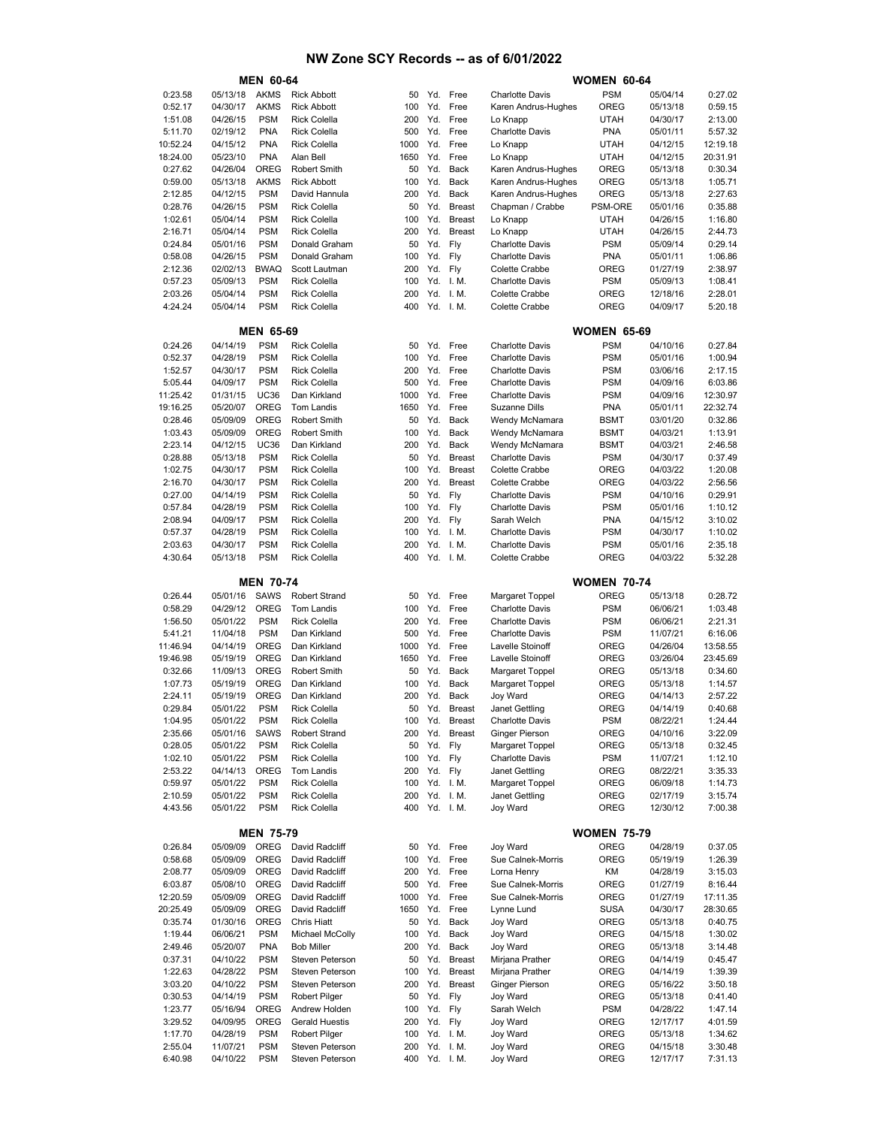|                    |                      | <b>MEN 60-64</b>          |                                        |            |            |                       |                                            | <b>WOMEN 60-64</b>        |                      |                     |
|--------------------|----------------------|---------------------------|----------------------------------------|------------|------------|-----------------------|--------------------------------------------|---------------------------|----------------------|---------------------|
| 0:23.58            | 05/13/18             | <b>AKMS</b>               | <b>Rick Abbott</b>                     | 50         |            | Yd. Free              | <b>Charlotte Davis</b>                     | <b>PSM</b>                | 05/04/14             | 0:27.02             |
| 0:52.17            | 04/30/17             | <b>AKMS</b>               | <b>Rick Abbott</b>                     | 100        | Yd.        | Free                  | Karen Andrus-Hughes                        | OREG                      | 05/13/18             | 0:59.15             |
| 1:51.08            | 04/26/15             | <b>PSM</b>                | <b>Rick Colella</b>                    | 200        | Yd.        | Free                  | Lo Knapp                                   | <b>UTAH</b>               | 04/30/17             | 2:13.00             |
| 5:11.70            | 02/19/12             | <b>PNA</b>                | <b>Rick Colella</b>                    | 500        | Yd.        | Free                  | <b>Charlotte Davis</b>                     | <b>PNA</b>                | 05/01/11             | 5:57.32             |
| 10:52.24           | 04/15/12             | <b>PNA</b>                | <b>Rick Colella</b>                    | 1000       | Yd.        | Free                  | Lo Knapp                                   | <b>UTAH</b>               | 04/12/15             | 12:19.18            |
| 18:24.00           | 05/23/10             | <b>PNA</b><br><b>OREG</b> | Alan Bell<br><b>Robert Smith</b>       | 1650<br>50 | Yd.<br>Yd. | Free<br><b>Back</b>   | Lo Knapp                                   | <b>UTAH</b>               | 04/12/15             | 20:31.91<br>0:30.34 |
| 0:27.62<br>0:59.00 | 04/26/04<br>05/13/18 | <b>AKMS</b>               | <b>Rick Abbott</b>                     | 100        | Yd.        | <b>Back</b>           | Karen Andrus-Hughes<br>Karen Andrus-Hughes | OREG<br>OREG              | 05/13/18<br>05/13/18 | 1:05.71             |
| 2:12.85            | 04/12/15             | <b>PSM</b>                | David Hannula                          | 200        | Yd.        | <b>Back</b>           | Karen Andrus-Hughes                        | OREG                      | 05/13/18             | 2:27.63             |
| 0:28.76            | 04/26/15             | <b>PSM</b>                | <b>Rick Colella</b>                    | 50         | Yd.        | <b>Breast</b>         | Chapman / Crabbe                           | PSM-ORE                   | 05/01/16             | 0:35.88             |
| 1:02.61            | 05/04/14             | <b>PSM</b>                | <b>Rick Colella</b>                    | 100        | Yd.        | <b>Breast</b>         | Lo Knapp                                   | <b>UTAH</b>               | 04/26/15             | 1:16.80             |
| 2:16.71            | 05/04/14             | <b>PSM</b>                | <b>Rick Colella</b>                    | 200        | Yd.        | <b>Breast</b>         | Lo Knapp                                   | <b>UTAH</b>               | 04/26/15             | 2:44.73             |
| 0:24.84            | 05/01/16             | <b>PSM</b>                | Donald Graham                          | 50         | Yd.        | Fly                   | <b>Charlotte Davis</b>                     | <b>PSM</b>                | 05/09/14             | 0:29.14             |
| 0:58.08            | 04/26/15             | <b>PSM</b>                | Donald Graham                          | 100        | Yd.        | Fly                   | <b>Charlotte Davis</b>                     | <b>PNA</b>                | 05/01/11             | 1:06.86             |
| 2:12.36            | 02/02/13             | <b>BWAQ</b>               | Scott Lautman                          | 200        | Yd.        | Fly                   | <b>Colette Crabbe</b>                      | OREG                      | 01/27/19             | 2:38.97             |
| 0:57.23            | 05/09/13             | <b>PSM</b>                | <b>Rick Colella</b>                    | 100        | Yd.        | I. M.                 | <b>Charlotte Davis</b>                     | <b>PSM</b>                | 05/09/13             | 1:08.41             |
| 2:03.26<br>4:24.24 | 05/04/14             | <b>PSM</b><br><b>PSM</b>  | <b>Rick Colella</b>                    | 200<br>400 | Yd.        | I. M.<br>Yd. I.M.     | Colette Crabbe                             | OREG<br>OREG              | 12/18/16             | 2:28.01             |
|                    | 05/04/14             |                           | <b>Rick Colella</b>                    |            |            |                       | Colette Crabbe                             |                           | 04/09/17             | 5:20.18             |
|                    |                      | <b>MEN 65-69</b>          |                                        |            |            |                       |                                            | <b>WOMEN 65-69</b>        |                      |                     |
| 0:24.26            | 04/14/19             | <b>PSM</b>                | <b>Rick Colella</b>                    | 50         |            | Yd. Free              | <b>Charlotte Davis</b>                     | <b>PSM</b>                | 04/10/16             | 0:27.84             |
| 0:52.37            | 04/28/19             | <b>PSM</b>                | <b>Rick Colella</b>                    | 100        | Yd.        | Free                  | <b>Charlotte Davis</b>                     | <b>PSM</b>                | 05/01/16             | 1:00.94             |
| 1:52.57            | 04/30/17             | <b>PSM</b>                | <b>Rick Colella</b>                    | 200        | Yd.        | Free                  | <b>Charlotte Davis</b>                     | <b>PSM</b>                | 03/06/16             | 2:17.15             |
| 5:05.44            | 04/09/17             | <b>PSM</b>                | <b>Rick Colella</b>                    | 500        | Yd.        | Free                  | <b>Charlotte Davis</b>                     | <b>PSM</b>                | 04/09/16             | 6:03.86             |
| 11:25.42           | 01/31/15             | <b>UC36</b>               | Dan Kirkland                           | 1000       |            | Yd. Free              | <b>Charlotte Davis</b>                     | <b>PSM</b>                | 04/09/16             | 12:30.97            |
| 19:16.25           | 05/20/07             | <b>OREG</b>               | <b>Tom Landis</b>                      | 1650       | Yd.        | Free                  | <b>Suzanne Dills</b>                       | <b>PNA</b>                | 05/01/11             | 22:32.74            |
| 0:28.46            | 05/09/09             | <b>OREG</b>               | <b>Robert Smith</b>                    | 50         | Yd.        | <b>Back</b>           | Wendy McNamara                             | <b>BSMT</b>               | 03/01/20             | 0:32.86             |
| 1:03.43            | 05/09/09             | OREG                      | <b>Robert Smith</b>                    | 100        | Yd.        | Back                  | Wendy McNamara                             | <b>BSMT</b>               | 04/03/21             | 1:13.91             |
| 2:23.14<br>0:28.88 | 04/12/15<br>05/13/18 | <b>UC36</b><br><b>PSM</b> | Dan Kirkland<br><b>Rick Colella</b>    | 200<br>50  | Yd.<br>Yd. | Back<br><b>Breast</b> | Wendy McNamara<br><b>Charlotte Davis</b>   | <b>BSMT</b><br><b>PSM</b> | 04/03/21<br>04/30/17 | 2:46.58<br>0:37.49  |
| 1:02.75            | 04/30/17             | <b>PSM</b>                | <b>Rick Colella</b>                    | 100        | Yd.        | <b>Breast</b>         | Colette Crabbe                             | OREG                      | 04/03/22             | 1:20.08             |
| 2:16.70            | 04/30/17             | <b>PSM</b>                | <b>Rick Colella</b>                    | 200        | Yd.        | <b>Breast</b>         | Colette Crabbe                             | OREG                      | 04/03/22             | 2:56.56             |
| 0:27.00            | 04/14/19             | <b>PSM</b>                | <b>Rick Colella</b>                    | 50         | Yd.        | Fly                   | <b>Charlotte Davis</b>                     | <b>PSM</b>                | 04/10/16             | 0:29.91             |
| 0:57.84            | 04/28/19             | <b>PSM</b>                | <b>Rick Colella</b>                    | 100        | Yd.        | Fly                   | <b>Charlotte Davis</b>                     | <b>PSM</b>                | 05/01/16             | 1:10.12             |
| 2:08.94            | 04/09/17             | <b>PSM</b>                | <b>Rick Colella</b>                    | 200        | Yd.        | Fly                   | Sarah Welch                                | <b>PNA</b>                | 04/15/12             | 3:10.02             |
| 0:57.37            | 04/28/19             | <b>PSM</b>                | <b>Rick Colella</b>                    | 100        |            | Yd. I.M.              | <b>Charlotte Davis</b>                     | <b>PSM</b>                | 04/30/17             | 1:10.02             |
| 2:03.63            | 04/30/17             | <b>PSM</b>                | <b>Rick Colella</b>                    | 200        |            | Yd. I.M.              | <b>Charlotte Davis</b>                     | <b>PSM</b>                | 05/01/16             | 2:35.18             |
| 4:30.64            | 05/13/18             | <b>PSM</b>                | <b>Rick Colella</b>                    | 400        |            | Yd. I.M.              | Colette Crabbe                             | OREG                      | 04/03/22             | 5:32.28             |
|                    |                      | <b>MEN 70-74</b>          |                                        |            |            |                       |                                            | <b>WOMEN 70-74</b>        |                      |                     |
| 0:26.44            | 05/01/16             | SAWS                      | <b>Robert Strand</b>                   | 50         |            | Yd. Free              | Margaret Toppel                            | OREG                      | 05/13/18             | 0:28.72             |
| 0:58.29            | 04/29/12             | <b>OREG</b>               | Tom Landis                             | 100        |            | Yd. Free              | <b>Charlotte Davis</b>                     | <b>PSM</b>                | 06/06/21             | 1:03.48             |
| 1:56.50            | 05/01/22             | <b>PSM</b>                | <b>Rick Colella</b>                    | 200        | Yd.        | Free                  | <b>Charlotte Davis</b>                     | <b>PSM</b>                | 06/06/21             | 2:21.31             |
| 5:41.21            | 11/04/18             | <b>PSM</b>                | Dan Kirkland                           | 500        |            | Yd. Free              | <b>Charlotte Davis</b>                     | <b>PSM</b>                | 11/07/21             | 6:16.06             |
| 11:46.94           | 04/14/19             | <b>OREG</b>               | Dan Kirkland                           | 1000       | Yd.        | Free                  | Lavelle Stoinoff                           | OREG                      | 04/26/04             | 13:58.55            |
| 19:46.98           | 05/19/19             | OREG                      | Dan Kirkland                           | 1650       |            | Yd. Free              | Lavelle Stoinoff                           | OREG                      | 03/26/04             | 23:45.69            |
| 0:32.66            | 11/09/13             | OREG                      | <b>Robert Smith</b>                    | 50         | Yd.        | <b>Back</b>           | <b>Margaret Toppel</b>                     | OREG                      | 05/13/18             | 0:34.60             |
| 1:07.73            | 05/19/19             | OREG                      | Dan Kirkland                           | 100        | Yd.        | Back                  | Margaret Toppel                            | OREG                      | 05/13/18             | 1:14.57             |
| 2:24.11<br>0:29.84 | 05/19/19<br>05/01/22 | <b>OREG</b><br><b>PSM</b> | Dan Kirkland<br><b>Rick Colella</b>    | 200<br>50  | Yd.<br>Yd. | Back<br><b>Breast</b> | Joy Ward<br><b>Janet Gettling</b>          | OREG<br>OREG              | 04/14/13<br>04/14/19 | 2:57.22<br>0:40.68  |
| 1:04.95            | 05/01/22             | <b>PSM</b>                | <b>Rick Colella</b>                    | 100        | Yd.        | <b>Breast</b>         | <b>Charlotte Davis</b>                     | <b>PSM</b>                | 08/22/21             | 1:24.44             |
| 2:35.66            | 05/01/16             | <b>SAWS</b>               | <b>Robert Strand</b>                   | 200        | Yd.        | <b>Breast</b>         | <b>Ginger Pierson</b>                      | OREG                      | 04/10/16             | 3:22.09             |
| 0:28.05            | 05/01/22             | <b>PSM</b>                | <b>Rick Colella</b>                    | 50         | Yd.        | Fly                   | <b>Margaret Toppel</b>                     | OREG                      | 05/13/18             | 0:32.45             |
| 1:02.10            | 05/01/22             | <b>PSM</b>                | <b>Rick Colella</b>                    | 100        | Yd. Fly    |                       | <b>Charlotte Davis</b>                     | <b>PSM</b>                | 11/07/21             | 1:12.10             |
| 2:53.22            | 04/14/13             | OREG                      | Tom Landis                             | 200        |            | Yd. Fly               | Janet Gettling                             | OREG                      | 08/22/21             | 3:35.33             |
| 0:59.97            | 05/01/22             | <b>PSM</b>                | <b>Rick Colella</b>                    | 100        |            | Yd. I.M.              | <b>Margaret Toppel</b>                     | OREG                      | 06/09/18             | 1:14.73             |
| 2:10.59            | 05/01/22             | <b>PSM</b>                | <b>Rick Colella</b>                    | 200        |            | Yd. I.M.              | Janet Gettling                             | OREG                      | 02/17/19             | 3:15.74             |
| 4:43.56            | 05/01/22             | <b>PSM</b>                | <b>Rick Colella</b>                    | 400        |            | Yd. I.M.              | <b>Joy Ward</b>                            | OREG                      | 12/30/12             | 7:00.38             |
|                    |                      |                           |                                        |            |            |                       |                                            |                           |                      |                     |
|                    |                      |                           |                                        |            |            |                       |                                            |                           |                      |                     |
|                    |                      | <b>MEN 75-79</b>          |                                        |            |            |                       |                                            | <b>WOMEN 75-79</b>        |                      |                     |
| 0:26.84            | 05/09/09             | OREG                      | David Radcliff                         | 50         |            | Yd. Free              | <b>Joy Ward</b>                            | OREG                      | 04/28/19             | 0:37.05             |
| 0:58.68            | 05/09/09             | OREG                      | David Radcliff                         | 100        |            | Yd. Free              | Sue Calnek-Morris<br>Lorna Henry           | OREG                      | 05/19/19             | 1:26.39             |
| 2:08.77<br>6:03.87 | 05/09/09<br>05/08/10 | OREG<br>OREG              | David Radcliff<br>David Radcliff       | 200<br>500 |            | Yd. Free<br>Yd. Free  | Sue Calnek-Morris                          | KM<br>OREG                | 04/28/19<br>01/27/19 | 3:15.03<br>8:16.44  |
| 12:20.59           | 05/09/09             | OREG                      | David Radcliff                         | 1000       |            | Yd. Free              | Sue Calnek-Morris                          | OREG                      | 01/27/19             | 17:11.35            |
| 20:25.49           | 05/09/09             | OREG                      | David Radcliff                         | 1650       | Yd.        | Free                  | Lynne Lund                                 | <b>SUSA</b>               | 04/30/17             | 28:30.65            |
| 0:35.74            | 01/30/16             | OREG                      | Chris Hiatt                            | 50         | Yd.        | Back                  | Joy Ward                                   | OREG                      | 05/13/18             | 0:40.75             |
| 1:19.44            | 06/06/21             | <b>PSM</b>                | Michael McColly                        | 100        | Yd.        | Back                  | Joy Ward                                   | OREG                      | 04/15/18             | 1:30.02             |
| 2:49.46            | 05/20/07             | <b>PNA</b>                | <b>Bob Miller</b>                      | 200        | Yd.        | Back                  | Joy Ward                                   | OREG                      | 05/13/18             | 3:14.48             |
| 0:37.31            | 04/10/22             | <b>PSM</b>                | Steven Peterson                        | 50         | Yd.        | <b>Breast</b>         | Mirjana Prather                            | OREG                      | 04/14/19             | 0:45.47             |
| 1:22.63            | 04/28/22             | <b>PSM</b>                | Steven Peterson                        | 100        | Yd.        | <b>Breast</b>         | Mirjana Prather                            | OREG                      | 04/14/19             | 1:39.39             |
| 3:03.20            | 04/10/22             | <b>PSM</b>                | Steven Peterson                        | 200        |            | Yd. Breast            | Ginger Pierson                             | OREG                      | 05/16/22             | 3:50.18             |
| 0:30.53            | 04/14/19             | <b>PSM</b>                | <b>Robert Pilger</b>                   | 50         | Yd. Fly    |                       | Joy Ward                                   | OREG                      | 05/13/18             | 0:41.40             |
| 1:23.77            | 05/16/94             | OREG                      | Andrew Holden<br><b>Gerald Huestis</b> | 100        | Yd. Fly    |                       | Sarah Welch                                | <b>PSM</b>                | 04/28/22             | 1:47.14             |
| 3:29.52<br>1:17.70 | 04/09/95<br>04/28/19 | OREG<br><b>PSM</b>        | <b>Robert Pilger</b>                   | 200<br>100 |            | Yd. Fly<br>Yd. I.M.   | Joy Ward<br>Joy Ward                       | OREG<br>OREG              | 12/17/17<br>05/13/18 | 4:01.59<br>1:34.62  |
| 2:55.04            | 11/07/21             | <b>PSM</b>                | Steven Peterson                        | 200        |            | Yd. I.M.              | Joy Ward                                   | OREG                      | 04/15/18             | 3:30.48             |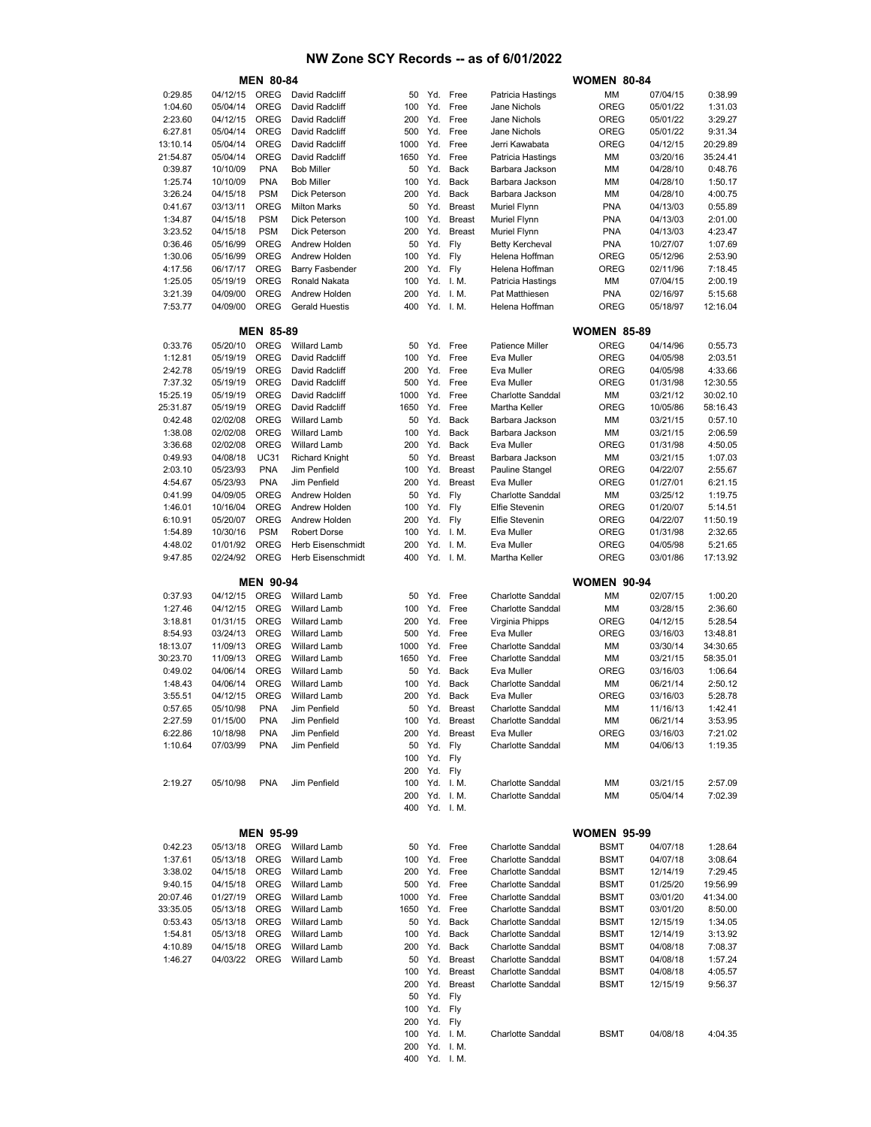|                      |                      | <b>MEN 80-84</b>          |                                |            |            |                         |                                                   | <b>WOMEN 80-84</b>  |                      |                    |
|----------------------|----------------------|---------------------------|--------------------------------|------------|------------|-------------------------|---------------------------------------------------|---------------------|----------------------|--------------------|
| 0:29.85              | 04/12/15             | OREG                      | David Radcliff                 | 50         |            | Yd. Free                | Patricia Hastings                                 | мм                  | 07/04/15             | 0:38.99            |
| 1:04.60              | 05/04/14             | <b>OREG</b>               | David Radcliff                 | 100        | Yd.        | Free                    | Jane Nichols                                      | <b>OREG</b>         | 05/01/22             | 1:31.03            |
| 2:23.60              | 04/12/15             | OREG                      | David Radcliff                 | 200        | Yd.        | Free                    | Jane Nichols                                      | <b>OREG</b>         | 05/01/22             | 3:29.27            |
| 6:27.81              | 05/04/14             | <b>OREG</b>               | David Radcliff                 | 500        | Yd.        | Free                    | Jane Nichols                                      | OREG                | 05/01/22             | 9:31.34            |
| 13:10.14             | 05/04/14             | <b>OREG</b>               | David Radcliff                 | 1000       | Yd.        | Free                    | Jerri Kawabata                                    | <b>OREG</b>         | 04/12/15             | 20:29.89           |
| 21:54.87             | 05/04/14             | OREG                      | David Radcliff                 | 1650       | Yd.        | Free                    | Patricia Hastings                                 | мм                  | 03/20/16             | 35:24.41           |
| 0:39.87              | 10/10/09             | <b>PNA</b>                | <b>Bob Miller</b>              | 50         | Yd.        | Back                    | Barbara Jackson                                   | ΜМ                  | 04/28/10             | 0:48.76            |
| 1:25.74              | 10/10/09             | <b>PNA</b>                | <b>Bob Miller</b>              | 100        | Yd.        | Back                    | Barbara Jackson                                   | МM                  | 04/28/10             | 1:50.17            |
| 3:26.24              | 04/15/18             | <b>PSM</b>                | Dick Peterson                  | 200        | Yd.        | Back                    | Barbara Jackson                                   | ΜМ                  | 04/28/10             | 4:00.75            |
| 0:41.67              | 03/13/11             | <b>OREG</b>               | <b>Milton Marks</b>            | 50         | Yd.        | <b>Breast</b>           | <b>Muriel Flynn</b>                               | <b>PNA</b>          | 04/13/03             | 0:55.89            |
| 1:34.87              | 04/15/18             | <b>PSM</b>                | Dick Peterson                  | 100        | Yd.        | Breast                  | <b>Muriel Flynn</b>                               | <b>PNA</b>          | 04/13/03             | 2:01.00            |
| 3:23.52              | 04/15/18             | <b>PSM</b>                | Dick Peterson                  | 200        | Yd.        | <b>Breast</b>           | <b>Muriel Flynn</b>                               | <b>PNA</b>          | 04/13/03             | 4:23.47            |
| 0:36.46              | 05/16/99             | OREG                      | Andrew Holden                  | 50         | Yd.        | Fly                     | <b>Betty Kercheval</b>                            | <b>PNA</b>          | 10/27/07             | 1:07.69            |
| 1:30.06              | 05/16/99             | <b>OREG</b>               | Andrew Holden                  | 100        | Yd.        | Fly                     | Helena Hoffman                                    | OREG                | 05/12/96             | 2:53.90            |
| 4:17.56              | 06/17/17             | <b>OREG</b>               | <b>Barry Fasbender</b>         | 200        | Yd.        | Fly                     | Helena Hoffman                                    | OREG                | 02/11/96             | 7:18.45            |
| 1:25.05              | 05/19/19             | OREG                      | Ronald Nakata                  | 100        | Yd.        | I. M.                   | Patricia Hastings                                 | мм                  | 07/04/15             | 2:00.19            |
| 3:21.39              | 04/09/00             | <b>OREG</b>               | Andrew Holden                  | 200        | Yd.        | I. M.                   | Pat Matthiesen                                    | <b>PNA</b>          | 02/16/97             | 5:15.68            |
| 7:53.77              | 04/09/00             | <b>OREG</b>               | <b>Gerald Huestis</b>          | 400        |            | Yd. I.M.                | Helena Hoffman                                    | OREG                | 05/18/97             | 12:16.04           |
|                      |                      |                           |                                |            |            |                         |                                                   |                     |                      |                    |
|                      |                      | <b>MEN 85-89</b>          |                                |            |            |                         |                                                   | <b>WOMEN 85-89</b>  |                      |                    |
| 0:33.76              | 05/20/10             | OREG                      | <b>Willard Lamb</b>            | 50         |            | Yd. Free                | <b>Patience Miller</b>                            | <b>OREG</b>         | 04/14/96             | 0:55.73            |
| 1:12.81              | 05/19/19             | <b>OREG</b>               | David Radcliff                 | 100        | Yd.        | Free                    | Eva Muller                                        | <b>OREG</b>         | 04/05/98             | 2:03.51            |
| 2:42.78              | 05/19/19             | <b>OREG</b>               | David Radcliff                 | 200        | Yd.        | Free                    | Eva Muller                                        | <b>OREG</b>         | 04/05/98             | 4:33.66            |
| 7:37.32              | 05/19/19             | <b>OREG</b>               | David Radcliff                 | 500        | Yd.        | Free                    | Eva Muller                                        | OREG                | 01/31/98             | 12:30.55           |
| 15:25.19             | 05/19/19             | <b>OREG</b>               | David Radcliff                 | 1000       | Yd.        | Free                    | <b>Charlotte Sanddal</b>                          | мм                  | 03/21/12             | 30:02.10           |
| 25:31.87             | 05/19/19             | OREG                      | David Radcliff                 | 1650       | Yd.        | Free                    | <b>Martha Keller</b>                              | OREG                | 10/05/86             | 58:16.43           |
| 0:42.48              | 02/02/08             | <b>OREG</b>               | <b>Willard Lamb</b>            | 50         | Yd.        | Back                    | Barbara Jackson                                   | МM                  | 03/21/15             | 0:57.10            |
| 1:38.08              | 02/02/08             | <b>OREG</b>               | <b>Willard Lamb</b>            | 100        | Yd.        | Back                    | Barbara Jackson                                   | ΜМ                  | 03/21/15             | 2:06.59            |
| 3:36.68              | 02/02/08             | <b>OREG</b>               | <b>Willard Lamb</b>            | 200<br>50  | Yd.<br>Yd. | Back<br>Breast          | Eva Muller<br>Barbara Jackson                     | OREG<br>мм          | 01/31/98             | 4:50.05            |
| 0:49.93              | 04/08/18             | <b>UC31</b><br><b>PNA</b> | <b>Richard Knight</b>          |            |            |                         |                                                   |                     | 03/21/15             | 1:07.03<br>2:55.67 |
| 2:03.10<br>4:54.67   | 05/23/93             | <b>PNA</b>                | Jim Penfield<br>Jim Penfield   | 100<br>200 | Yd.<br>Yd. | <b>Breast</b><br>Breast | Pauline Stangel<br>Eva Muller                     | OREG<br><b>OREG</b> | 04/22/07             | 6:21.15            |
|                      | 05/23/93             | <b>OREG</b>               |                                | 50         | Yd.        |                         |                                                   |                     | 01/27/01             |                    |
| 0:41.99<br>1:46.01   | 04/09/05             | <b>OREG</b>               | Andrew Holden<br>Andrew Holden | 100        | Yd.        | Fly<br>Fly              | <b>Charlotte Sanddal</b><br><b>Elfie Stevenin</b> | мм<br>OREG          | 03/25/12             | 1:19.75<br>5:14.51 |
| 6:10.91              | 10/16/04<br>05/20/07 | <b>OREG</b>               | Andrew Holden                  | 200        | Yd.        | Fly                     | <b>Elfie Stevenin</b>                             | OREG                | 01/20/07<br>04/22/07 | 11:50.19           |
| 1:54.89              | 10/30/16             | <b>PSM</b>                | <b>Robert Dorse</b>            | 100        |            | Yd. I.M.                | Eva Muller                                        | <b>OREG</b>         | 01/31/98             | 2:32.65            |
| 4:48.02              | 01/01/92             | <b>OREG</b>               | Herb Eisenschmidt              | 200        | Yd.        | I. M.                   | Eva Muller                                        | OREG                | 04/05/98             | 5:21.65            |
| 9:47.85              | 02/24/92             | <b>OREG</b>               | Herb Eisenschmidt              | 400        |            | Yd. I.M.                | Martha Keller                                     | OREG                | 03/01/86             | 17:13.92           |
|                      |                      |                           |                                |            |            |                         |                                                   |                     |                      |                    |
|                      |                      | <b>MEN 90-94</b>          |                                |            |            |                         |                                                   | <b>WOMEN 90-94</b>  |                      |                    |
| 0:37.93              | 04/12/15             | OREG                      | <b>Willard Lamb</b>            | 50         | Yd.        | Free                    | <b>Charlotte Sanddal</b>                          | MM                  | 02/07/15             | 1:00.20            |
|                      |                      |                           |                                | 100        | Yd.        | Free                    | <b>Charlotte Sanddal</b>                          | МM                  | 03/28/15             | 2:36.60            |
|                      |                      |                           |                                |            |            |                         |                                                   |                     |                      |                    |
| 1:27.46              | 04/12/15             | <b>OREG</b>               | <b>Willard Lamb</b>            |            |            |                         |                                                   |                     |                      |                    |
| 3:18.81              | 01/31/15             | <b>OREG</b>               | <b>Willard Lamb</b>            | 200        | Yd.        | Free                    | Virginia Phipps                                   | OREG                | 04/12/15             | 5:28.54            |
| 8:54.93              | 03/24/13             | <b>OREG</b>               | <b>Willard Lamb</b>            | 500        | Yd.        | Free                    | Eva Muller                                        | OREG                | 03/16/03             | 13:48.81           |
| 18:13.07             | 11/09/13             | <b>OREG</b>               | <b>Willard Lamb</b>            | 1000       | Yd.        | Free                    | <b>Charlotte Sanddal</b>                          | ΜМ                  | 03/30/14             | 34:30.65           |
|                      | 11/09/13             | OREG                      | <b>Willard Lamb</b>            | 1650       | Yd.        | Free                    | <b>Charlotte Sanddal</b>                          | МM                  | 03/21/15             | 58:35.01           |
| 0:49.02              | 04/06/14             | <b>OREG</b>               | <b>Willard Lamb</b>            | 50         | Yd.        | <b>Back</b>             | Eva Muller                                        | OREG                | 03/16/03             | 1:06.64            |
| 30:23.70<br>1:48.43  | 04/06/14             | OREG                      | <b>Willard Lamb</b>            | 100        | Yd.        | Back                    | <b>Charlotte Sanddal</b>                          | МM                  | 06/21/14             | 2:50.12            |
| 3:55.51              | 04/12/15             | <b>OREG</b>               | <b>Willard Lamb</b>            | 200        | Yd.        | Back                    | Eva Muller                                        | <b>OREG</b>         | 03/16/03             | 5:28.78            |
| 0:57.65              | 05/10/98             | <b>PNA</b>                | Jim Penfield                   | 50         | Yd.        | <b>Breast</b>           | Charlotte Sanddal                                 | МM                  | 11/16/13             | 1:42.41            |
| 2:27.59              | 01/15/00             | PNA                       | Jim Penfield                   | 100        |            | Yd. Breast              | Charlotte Sanddal                                 | МM                  | 06/21/14             | 3:53.95            |
| 6:22.86              | 10/18/98             | <b>PNA</b>                | Jim Penfield                   | 200        | Yd.        | <b>Breast</b>           | Eva Muller                                        | OREG                | 03/16/03             | 7:21.02            |
| 1:10.64              | 07/03/99             | <b>PNA</b>                | Jim Penfield                   | 50         | Yd. Fly    |                         | Charlotte Sanddal                                 | МM                  | 04/06/13             | 1:19.35            |
|                      |                      |                           |                                | 100        | Yd. Fly    |                         |                                                   |                     |                      |                    |
|                      |                      |                           |                                | 200        | Yd. Fly    |                         |                                                   |                     |                      |                    |
| 2:19.27              | 05/10/98             | <b>PNA</b>                | Jim Penfield                   | 100        |            | Yd. I.M.                | <b>Charlotte Sanddal</b>                          | ΜМ                  | 03/21/15             | 2:57.09            |
|                      |                      |                           |                                | 200        |            | Yd. I.M.                | Charlotte Sanddal                                 | ΜМ                  | 05/04/14             | 7:02.39            |
|                      |                      |                           |                                | 400        |            | Yd. I.M.                |                                                   |                     |                      |                    |
|                      |                      |                           |                                |            |            |                         |                                                   |                     |                      |                    |
|                      |                      | <b>MEN 95-99</b>          |                                |            |            |                         |                                                   | <b>WOMEN 95-99</b>  |                      |                    |
| 0:42.23              | 05/13/18             | OREG                      | <b>Willard Lamb</b>            | 50         |            | Yd. Free                | <b>Charlotte Sanddal</b>                          | <b>BSMT</b>         | 04/07/18             | 1:28.64            |
| 1:37.61              | 05/13/18             | OREG                      | <b>Willard Lamb</b>            | 100        |            | Yd. Free                | <b>Charlotte Sanddal</b>                          | <b>BSMT</b>         | 04/07/18             | 3:08.64            |
| 3:38.02              | 04/15/18             | OREG                      | <b>Willard Lamb</b>            | 200        |            | Yd. Free                | <b>Charlotte Sanddal</b>                          | <b>BSMT</b>         | 12/14/19             | 7:29.45            |
| 9:40.15              | 04/15/18             | OREG                      | <b>Willard Lamb</b>            | 500        |            | Yd. Free                | <b>Charlotte Sanddal</b>                          | <b>BSMT</b>         | 01/25/20             | 19:56.99           |
|                      | 01/27/19             | OREG                      | <b>Willard Lamb</b>            | 1000       |            | Yd. Free                | <b>Charlotte Sanddal</b>                          | <b>BSMT</b>         | 03/01/20             | 41:34.00           |
|                      | 05/13/18             | OREG                      | <b>Willard Lamb</b>            | 1650       |            | Yd. Free                | <b>Charlotte Sanddal</b>                          | <b>BSMT</b>         | 03/01/20             | 8:50.00            |
| 0:53.43              | 05/13/18             | OREG                      | <b>Willard Lamb</b>            | 50         |            | Yd. Back                | <b>Charlotte Sanddal</b>                          | <b>BSMT</b>         | 12/15/19             | 1:34.05            |
| 1:54.81              | 05/13/18             | OREG                      | <b>Willard Lamb</b>            | 100        |            | Yd. Back                | <b>Charlotte Sanddal</b>                          | <b>BSMT</b>         | 12/14/19             | 3:13.92            |
| 4:10.89              | 04/15/18             | OREG                      | <b>Willard Lamb</b>            | 200        |            | Yd. Back                | Charlotte Sanddal                                 | <b>BSMT</b>         | 04/08/18             | 7:08.37            |
| 1:46.27              | 04/03/22             | OREG                      | <b>Willard Lamb</b>            | 50         |            | Yd. Breast              | <b>Charlotte Sanddal</b>                          | <b>BSMT</b>         | 04/08/18             | 1:57.24            |
|                      |                      |                           |                                | 100        |            | Yd. Breast              | Charlotte Sanddal                                 | <b>BSMT</b>         | 04/08/18             | 4:05.57            |
|                      |                      |                           |                                | 200        |            | Yd. Breast              | Charlotte Sanddal                                 | <b>BSMT</b>         | 12/15/19             | 9:56.37            |
|                      |                      |                           |                                | 50         | Yd. Fly    |                         |                                                   |                     |                      |                    |
|                      |                      |                           |                                | 100        | Yd. Fly    |                         |                                                   |                     |                      |                    |
| 20:07.46<br>33:35.05 |                      |                           |                                | 200        | Yd. Fly    |                         |                                                   |                     |                      |                    |
|                      |                      |                           |                                | 100        |            | Yd. I.M.                | <b>Charlotte Sanddal</b>                          | BSMT                | 04/08/18             | 4:04.35            |
|                      |                      |                           |                                | 200<br>400 |            | Yd. I.M.<br>Yd. I.M.    |                                                   |                     |                      |                    |